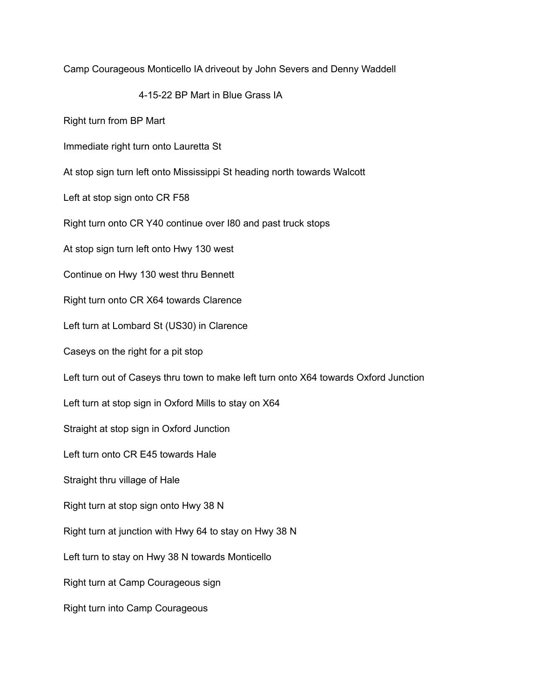Camp Courageous Monticello IA driveout by John Severs and Denny Waddell

4-15-22 BP Mart in Blue Grass IA

Right turn from BP Mart

Immediate right turn onto Lauretta St

At stop sign turn left onto Mississippi St heading north towards Walcott

Left at stop sign onto CR F58

Right turn onto CR Y40 continue over I80 and past truck stops

At stop sign turn left onto Hwy 130 west

Continue on Hwy 130 west thru Bennett

Right turn onto CR X64 towards Clarence

Left turn at Lombard St (US30) in Clarence

Caseys on the right for a pit stop

Left turn out of Caseys thru town to make left turn onto X64 towards Oxford Junction

Left turn at stop sign in Oxford Mills to stay on X64

Straight at stop sign in Oxford Junction

Left turn onto CR E45 towards Hale

Straight thru village of Hale

Right turn at stop sign onto Hwy 38 N

Right turn at junction with Hwy 64 to stay on Hwy 38 N

Left turn to stay on Hwy 38 N towards Monticello

Right turn at Camp Courageous sign

Right turn into Camp Courageous